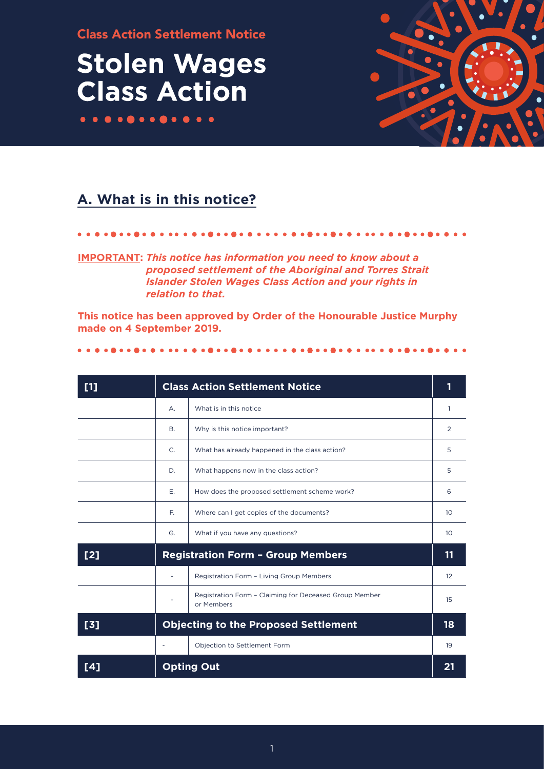Class Action Settlement Notice

## **Stolen Wages Class Action**



## **A. What is in this notice?**

**IMPORTANT:** *This notice has information you need to know about a proposed settlement of the Aboriginal and Torres Strait Islander Stolen Wages Class Action and your rights in relation to that.*

**This notice has been approved by Order of the Honourable Justice Murphy made on 4 September 2019.**

### 

| [1] | <b>Class Action Settlement Notice</b>       |                                                                      |    |
|-----|---------------------------------------------|----------------------------------------------------------------------|----|
|     | А.                                          | What is in this notice                                               | 1  |
|     | B.                                          | Why is this notice important?                                        | 2  |
|     | $C_{1}$                                     | What has already happened in the class action?                       | 5  |
|     | D.                                          | What happens now in the class action?                                |    |
|     | Ε.                                          | How does the proposed settlement scheme work?                        | 6  |
|     | E.                                          | Where can I get copies of the documents?                             | 10 |
|     | G.                                          | What if you have any questions?                                      | 10 |
| [2] | <b>Registration Form - Group Members</b>    |                                                                      | 11 |
|     |                                             | Registration Form - Living Group Members                             | 12 |
|     |                                             | Registration Form - Claiming for Deceased Group Member<br>or Members | 15 |
| [3] | <b>Objecting to the Proposed Settlement</b> |                                                                      | 18 |
|     |                                             | Objection to Settlement Form                                         | 19 |
| [4] | <b>Opting Out</b>                           |                                                                      | 21 |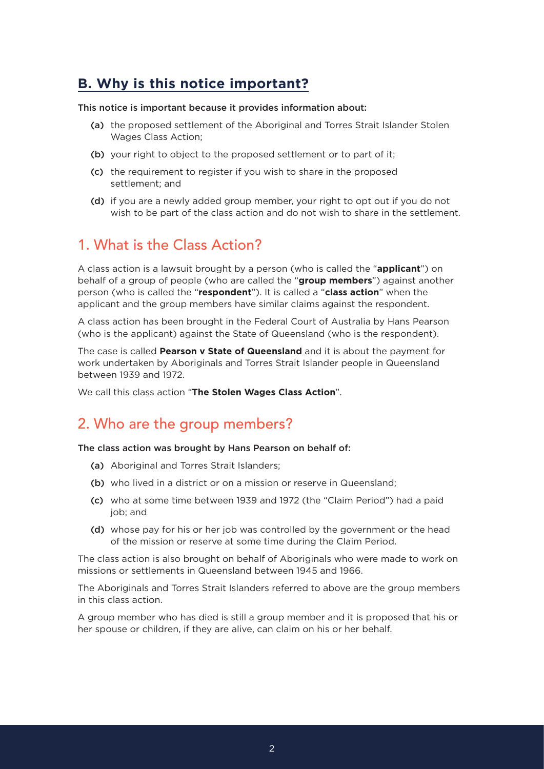### **B. Why is this notice important?**

### This notice is important because it provides information about:

- (a) the proposed settlement of the Aboriginal and Torres Strait Islander Stolen Wages Class Action;
- (b) your right to object to the proposed settlement or to part of it;
- (c) the requirement to register if you wish to share in the proposed settlement; and
- (d) if you are a newly added group member, your right to opt out if you do not wish to be part of the class action and do not wish to share in the settlement.

### 1. What is the Class Action?

A class action is a lawsuit brought by a person (who is called the "**applicant**") on behalf of a group of people (who are called the "**group members**") against another person (who is called the "**respondent**"). It is called a "**class action**" when the applicant and the group members have similar claims against the respondent.

A class action has been brought in the Federal Court of Australia by Hans Pearson (who is the applicant) against the State of Queensland (who is the respondent).

The case is called **Pearson v State of Queensland** and it is about the payment for work undertaken by Aboriginals and Torres Strait Islander people in Queensland between 1939 and 1972.

We call this class action "**The Stolen Wages Class Action**".

### 2. Who are the group members?

### The class action was brought by Hans Pearson on behalf of:

- (a) Aboriginal and Torres Strait Islanders;
- (b) who lived in a district or on a mission or reserve in Queensland;
- (c) who at some time between 1939 and 1972 (the "Claim Period") had a paid job; and
- (d) whose pay for his or her job was controlled by the government or the head of the mission or reserve at some time during the Claim Period.

The class action is also brought on behalf of Aboriginals who were made to work on missions or settlements in Queensland between 1945 and 1966.

The Aboriginals and Torres Strait Islanders referred to above are the group members in this class action.

A group member who has died is still a group member and it is proposed that his or her spouse or children, if they are alive, can claim on his or her behalf.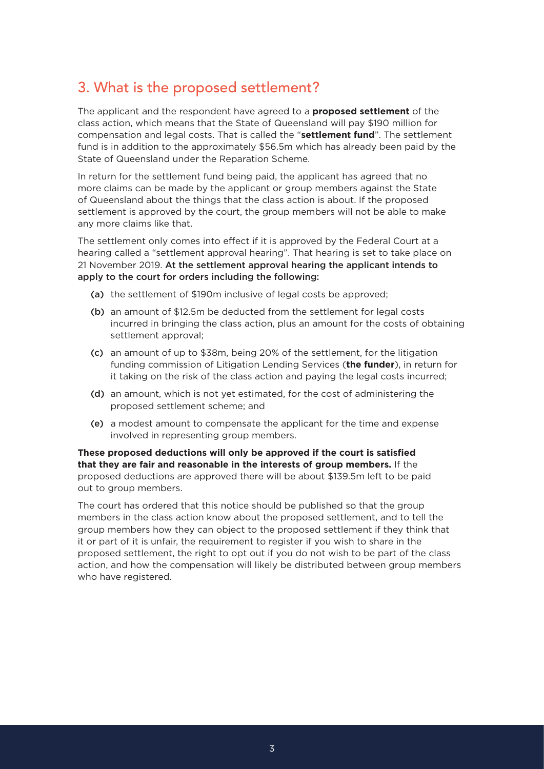### 3. What is the proposed settlement?

The applicant and the respondent have agreed to a **proposed settlement** of the class action, which means that the State of Queensland will pay \$190 million for compensation and legal costs. That is called the "**settlement fund**". The settlement fund is in addition to the approximately \$56.5m which has already been paid by the State of Queensland under the Reparation Scheme.

In return for the settlement fund being paid, the applicant has agreed that no more claims can be made by the applicant or group members against the State of Queensland about the things that the class action is about. If the proposed settlement is approved by the court, the group members will not be able to make any more claims like that.

The settlement only comes into effect if it is approved by the Federal Court at a hearing called a "settlement approval hearing". That hearing is set to take place on 21 November 2019. At the settlement approval hearing the applicant intends to apply to the court for orders including the following:

- (a) the settlement of \$190m inclusive of legal costs be approved;
- (b) an amount of \$12.5m be deducted from the settlement for legal costs incurred in bringing the class action, plus an amount for the costs of obtaining settlement approval;
- (c) an amount of up to \$38m, being 20% of the settlement, for the litigation funding commission of Litigation Lending Services (**the funder**), in return for it taking on the risk of the class action and paying the legal costs incurred;
- (d) an amount, which is not yet estimated, for the cost of administering the proposed settlement scheme; and
- (e) a modest amount to compensate the applicant for the time and expense involved in representing group members.

**These proposed deductions will only be approved if the court is satisfied that they are fair and reasonable in the interests of group members.** If the proposed deductions are approved there will be about \$139.5m left to be paid out to group members.

The court has ordered that this notice should be published so that the group members in the class action know about the proposed settlement, and to tell the group members how they can object to the proposed settlement if they think that it or part of it is unfair, the requirement to register if you wish to share in the proposed settlement, the right to opt out if you do not wish to be part of the class action, and how the compensation will likely be distributed between group members who have registered.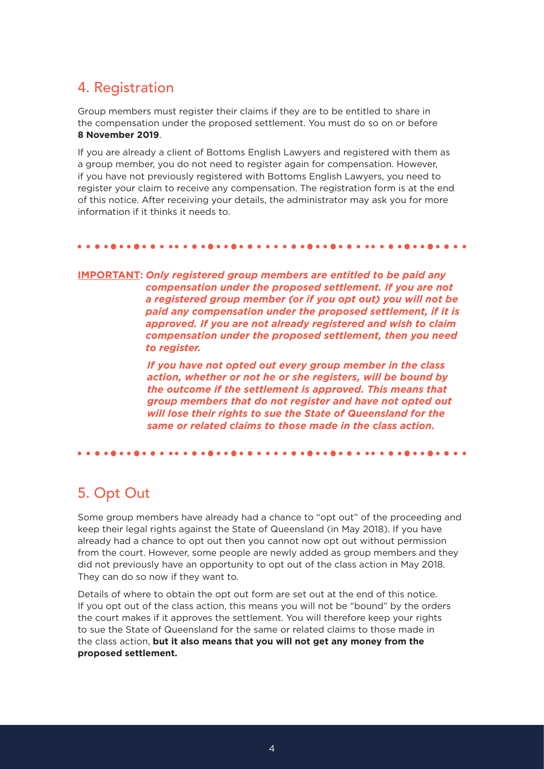### 4. Registration

Group members must register their claims if they are to be entitled to share in the compensation under the proposed settlement. You must do so on or before **8 November 2019**.

If you are already a client of Bottoms English Lawyers and registered with them as a group member, you do not need to register again for compensation. However, if you have not previously registered with Bottoms English Lawyers, you need to register your claim to receive any compensation. The registration form is at the end of this notice. After receiving your details, the administrator may ask you for more information if it thinks it needs to.

### 

**IMPORTANT:** *Only registered group members are entitled to be paid any compensation under the proposed settlement. If you are not a registered group member (or if you opt out) you will not be paid any compensation under the proposed settlement, if it is approved. If you are not already registered and wish to claim compensation under the proposed settlement, then you need to register.* 

> *If you have not opted out every group member in the class action, whether or not he or she registers, will be bound by the outcome if the settlement is approved. This means that group members that do not register and have not opted out will lose their rights to sue the State of Queensland for the same or related claims to those made in the class action.*

#### 

## 5. Opt Out

Some group members have already had a chance to "opt out" of the proceeding and keep their legal rights against the State of Queensland (in May 2018). If you have already had a chance to opt out then you cannot now opt out without permission from the court. However, some people are newly added as group members and they did not previously have an opportunity to opt out of the class action in May 2018. They can do so now if they want to.

Details of where to obtain the opt out form are set out at the end of this notice. If you opt out of the class action, this means you will not be "bound" by the orders the court makes if it approves the settlement. You will therefore keep your rights to sue the State of Queensland for the same or related claims to those made in the class action, **but it also means that you will not get any money from the proposed settlement.**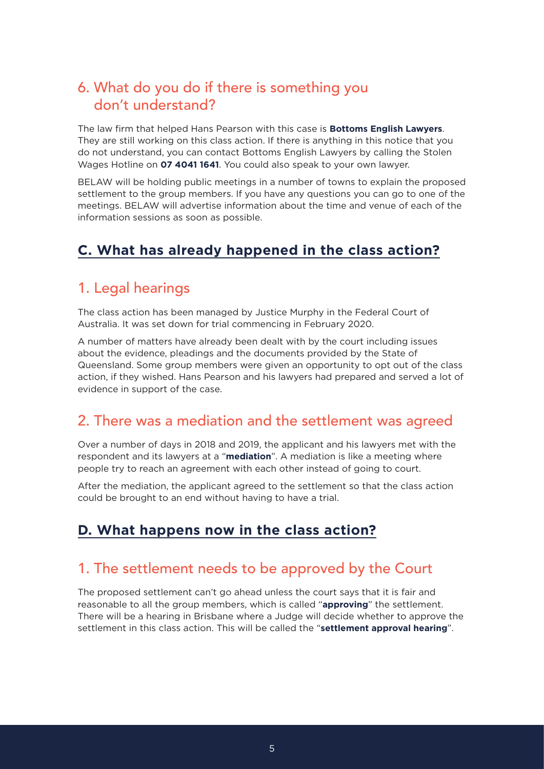### 6. What do you do if there is something you don't understand?

The law firm that helped Hans Pearson with this case is **Bottoms English Lawyers**. They are still working on this class action. If there is anything in this notice that you do not understand, you can contact Bottoms English Lawyers by calling the Stolen Wages Hotline on **07 4041 1641**. You could also speak to your own lawyer.

BELAW will be holding public meetings in a number of towns to explain the proposed settlement to the group members. If you have any questions you can go to one of the meetings. BELAW will advertise information about the time and venue of each of the information sessions as soon as possible.

### **C. What has already happened in the class action?**

### 1. Legal hearings

The class action has been managed by Justice Murphy in the Federal Court of Australia. It was set down for trial commencing in February 2020.

A number of matters have already been dealt with by the court including issues about the evidence, pleadings and the documents provided by the State of Queensland. Some group members were given an opportunity to opt out of the class action, if they wished. Hans Pearson and his lawyers had prepared and served a lot of evidence in support of the case.

### 2. There was a mediation and the settlement was agreed

Over a number of days in 2018 and 2019, the applicant and his lawyers met with the respondent and its lawyers at a "**mediation**". A mediation is like a meeting where people try to reach an agreement with each other instead of going to court.

After the mediation, the applicant agreed to the settlement so that the class action could be brought to an end without having to have a trial.

### **D. What happens now in the class action?**

### 1. The settlement needs to be approved by the Court

The proposed settlement can't go ahead unless the court says that it is fair and reasonable to all the group members, which is called "**approving**" the settlement. There will be a hearing in Brisbane where a Judge will decide whether to approve the settlement in this class action. This will be called the "**settlement approval hearing**".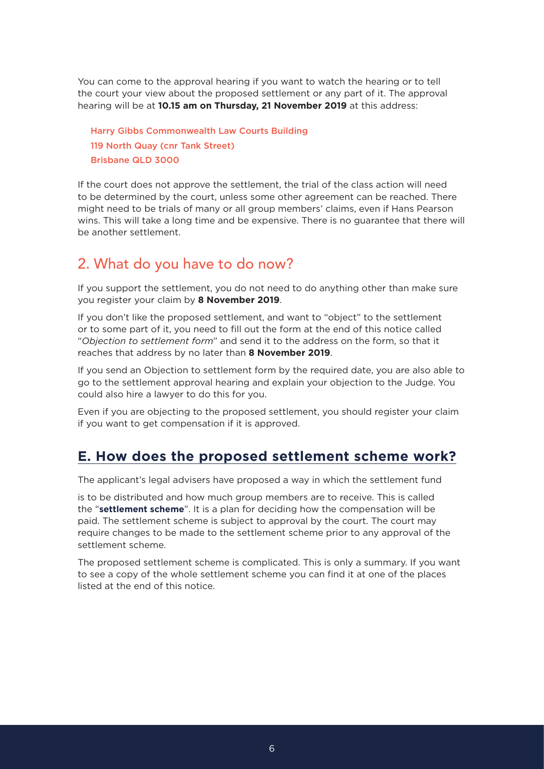You can come to the approval hearing if you want to watch the hearing or to tell the court your view about the proposed settlement or any part of it. The approval hearing will be at **10.15 am on Thursday, 21 November 2019** at this address:

Harry Gibbs Commonwealth Law Courts Building 119 North Quay (cnr Tank Street) Brisbane QLD 3000

If the court does not approve the settlement, the trial of the class action will need to be determined by the court, unless some other agreement can be reached. There might need to be trials of many or all group members' claims, even if Hans Pearson wins. This will take a long time and be expensive. There is no guarantee that there will be another settlement.

## 2. What do you have to do now?

If you support the settlement, you do not need to do anything other than make sure you register your claim by **8 November 2019**.

If you don't like the proposed settlement, and want to "object" to the settlement or to some part of it, you need to fill out the form at the end of this notice called "*Objection to settlement form*" and send it to the address on the form, so that it reaches that address by no later than **8 November 2019**.

If you send an Objection to settlement form by the required date, you are also able to go to the settlement approval hearing and explain your objection to the Judge. You could also hire a lawyer to do this for you.

Even if you are objecting to the proposed settlement, you should register your claim if you want to get compensation if it is approved.

### **E. How does the proposed settlement scheme work?**

The applicant's legal advisers have proposed a way in which the settlement fund

is to be distributed and how much group members are to receive. This is called the "**settlement scheme**". It is a plan for deciding how the compensation will be paid. The settlement scheme is subject to approval by the court. The court may require changes to be made to the settlement scheme prior to any approval of the settlement scheme.

The proposed settlement scheme is complicated. This is only a summary. If you want to see a copy of the whole settlement scheme you can find it at one of the places listed at the end of this notice.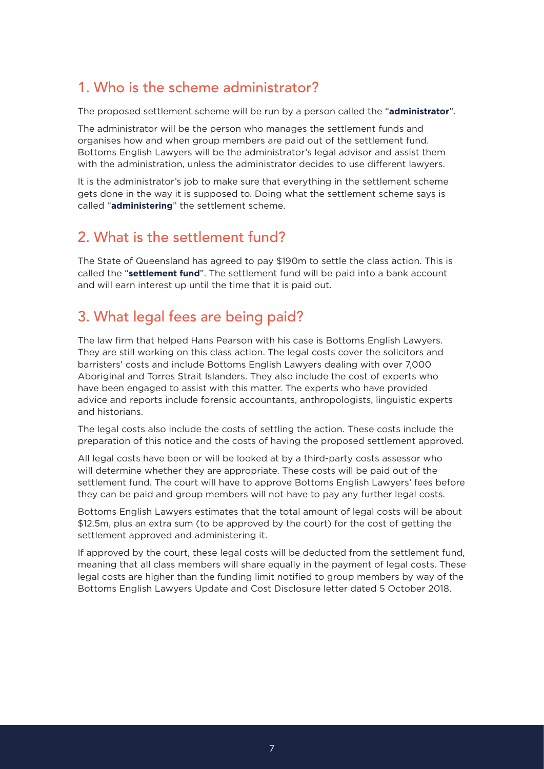### 1. Who is the scheme administrator?

The proposed settlement scheme will be run by a person called the "**administrator**".

The administrator will be the person who manages the settlement funds and organises how and when group members are paid out of the settlement fund. Bottoms English Lawyers will be the administrator's legal advisor and assist them with the administration, unless the administrator decides to use different lawyers.

It is the administrator's job to make sure that everything in the settlement scheme gets done in the way it is supposed to. Doing what the settlement scheme says is called "**administering**" the settlement scheme.

### 2. What is the settlement fund?

The State of Queensland has agreed to pay \$190m to settle the class action. This is called the "**settlement fund**". The settlement fund will be paid into a bank account and will earn interest up until the time that it is paid out.

## 3. What legal fees are being paid?

The law firm that helped Hans Pearson with his case is Bottoms English Lawyers. They are still working on this class action. The legal costs cover the solicitors and barristers' costs and include Bottoms English Lawyers dealing with over 7,000 Aboriginal and Torres Strait Islanders. They also include the cost of experts who have been engaged to assist with this matter. The experts who have provided advice and reports include forensic accountants, anthropologists, linguistic experts and historians.

The legal costs also include the costs of settling the action. These costs include the preparation of this notice and the costs of having the proposed settlement approved.

All legal costs have been or will be looked at by a third-party costs assessor who will determine whether they are appropriate. These costs will be paid out of the settlement fund. The court will have to approve Bottoms English Lawyers' fees before they can be paid and group members will not have to pay any further legal costs.

Bottoms English Lawyers estimates that the total amount of legal costs will be about \$12.5m, plus an extra sum (to be approved by the court) for the cost of getting the settlement approved and administering it.

If approved by the court, these legal costs will be deducted from the settlement fund, meaning that all class members will share equally in the payment of legal costs. These legal costs are higher than the funding limit notified to group members by way of the Bottoms English Lawyers Update and Cost Disclosure letter dated 5 October 2018.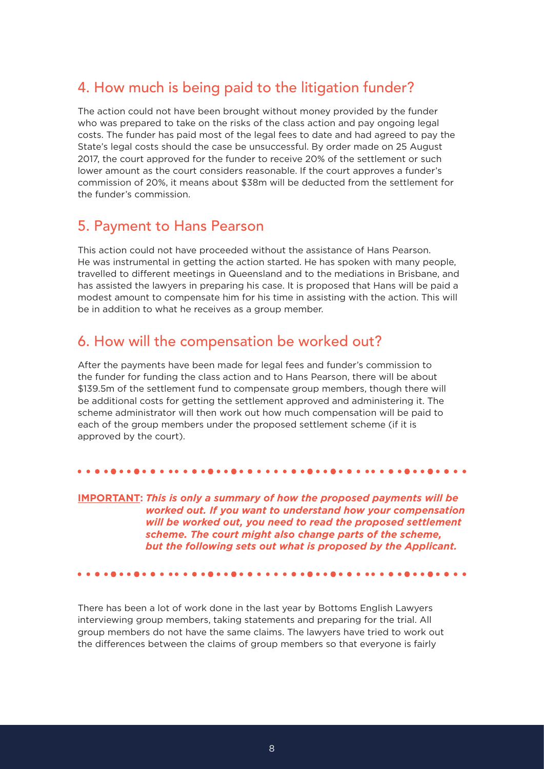### 4. How much is being paid to the litigation funder?

The action could not have been brought without money provided by the funder who was prepared to take on the risks of the class action and pay ongoing legal costs. The funder has paid most of the legal fees to date and had agreed to pay the State's legal costs should the case be unsuccessful. By order made on 25 August 2017, the court approved for the funder to receive 20% of the settlement or such lower amount as the court considers reasonable. If the court approves a funder's commission of 20%, it means about \$38m will be deducted from the settlement for the funder's commission.

### 5. Payment to Hans Pearson

This action could not have proceeded without the assistance of Hans Pearson. He was instrumental in getting the action started. He has spoken with many people, travelled to different meetings in Queensland and to the mediations in Brisbane, and has assisted the lawyers in preparing his case. It is proposed that Hans will be paid a modest amount to compensate him for his time in assisting with the action. This will be in addition to what he receives as a group member.

### 6. How will the compensation be worked out?

After the payments have been made for legal fees and funder's commission to the funder for funding the class action and to Hans Pearson, there will be about \$139.5m of the settlement fund to compensate group members, though there will be additional costs for getting the settlement approved and administering it. The scheme administrator will then work out how much compensation will be paid to each of the group members under the proposed settlement scheme (if it is approved by the court).

### 

**IMPORTANT:** *This is only a summary of how the proposed payments will be worked out. If you want to understand how your compensation will be worked out, you need to read the proposed settlement scheme. The court might also change parts of the scheme, but the following sets out what is proposed by the Applicant.*

There has been a lot of work done in the last year by Bottoms English Lawyers interviewing group members, taking statements and preparing for the trial. All group members do not have the same claims. The lawyers have tried to work out the differences between the claims of group members so that everyone is fairly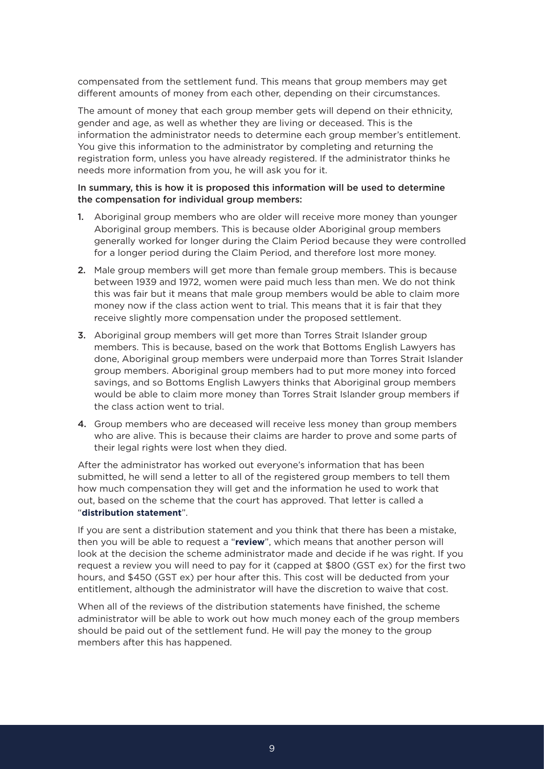compensated from the settlement fund. This means that group members may get different amounts of money from each other, depending on their circumstances.

The amount of money that each group member gets will depend on their ethnicity, gender and age, as well as whether they are living or deceased. This is the information the administrator needs to determine each group member's entitlement. You give this information to the administrator by completing and returning the registration form, unless you have already registered. If the administrator thinks he needs more information from you, he will ask you for it.

### In summary, this is how it is proposed this information will be used to determine the compensation for individual group members:

- 1. Aboriginal group members who are older will receive more money than younger Aboriginal group members. This is because older Aboriginal group members generally worked for longer during the Claim Period because they were controlled for a longer period during the Claim Period, and therefore lost more money.
- 2. Male group members will get more than female group members. This is because between 1939 and 1972, women were paid much less than men. We do not think this was fair but it means that male group members would be able to claim more money now if the class action went to trial. This means that it is fair that they receive slightly more compensation under the proposed settlement.
- **3.** Aboriginal group members will get more than Torres Strait Islander group members. This is because, based on the work that Bottoms English Lawyers has done, Aboriginal group members were underpaid more than Torres Strait Islander group members. Aboriginal group members had to put more money into forced savings, and so Bottoms English Lawyers thinks that Aboriginal group members would be able to claim more money than Torres Strait Islander group members if the class action went to trial.
- 4. Group members who are deceased will receive less money than group members who are alive. This is because their claims are harder to prove and some parts of their legal rights were lost when they died.

After the administrator has worked out everyone's information that has been submitted, he will send a letter to all of the registered group members to tell them how much compensation they will get and the information he used to work that out, based on the scheme that the court has approved. That letter is called a "**distribution statement**".

If you are sent a distribution statement and you think that there has been a mistake, then you will be able to request a "**review**", which means that another person will look at the decision the scheme administrator made and decide if he was right. If you request a review you will need to pay for it (capped at \$800 (GST ex) for the first two hours, and \$450 (GST ex) per hour after this. This cost will be deducted from your entitlement, although the administrator will have the discretion to waive that cost.

When all of the reviews of the distribution statements have finished, the scheme administrator will be able to work out how much money each of the group members should be paid out of the settlement fund. He will pay the money to the group members after this has happened.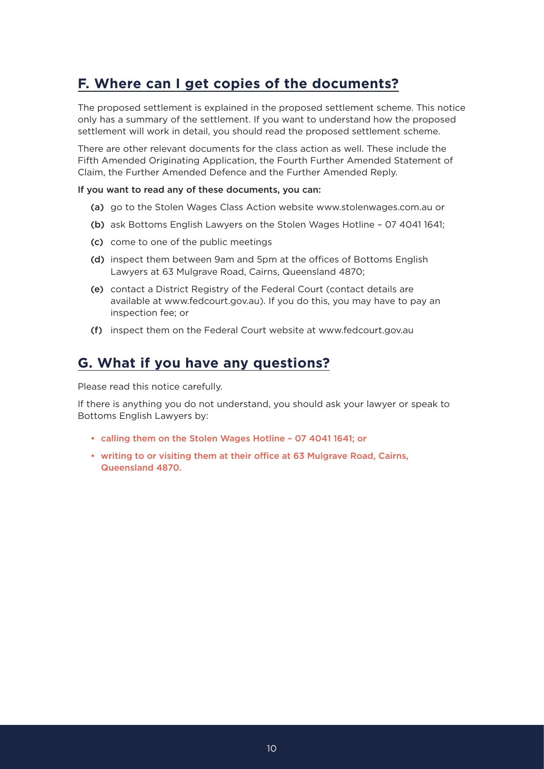### **F. Where can I get copies of the documents?**

The proposed settlement is explained in the proposed settlement scheme. This notice only has a summary of the settlement. If you want to understand how the proposed settlement will work in detail, you should read the proposed settlement scheme.

There are other relevant documents for the class action as well. These include the Fifth Amended Originating Application, the Fourth Further Amended Statement of Claim, the Further Amended Defence and the Further Amended Reply.

### If you want to read any of these documents, you can:

- (a) go to the Stolen Wages Class Action website www.stolenwages.com.au or
- (b) ask Bottoms English Lawyers on the Stolen Wages Hotline 07 4041 1641;
- (c) come to one of the public meetings
- (d) inspect them between 9am and 5pm at the offices of Bottoms English Lawyers at 63 Mulgrave Road, Cairns, Queensland 4870;
- (e) contact a District Registry of the Federal Court (contact details are available at www.fedcourt.gov.au). If you do this, you may have to pay an inspection fee; or
- (f) inspect them on the Federal Court website at www.fedcourt.gov.au

### **G. What if you have any questions?**

Please read this notice carefully.

If there is anything you do not understand, you should ask your lawyer or speak to Bottoms English Lawyers by:

- calling them on the Stolen Wages Hotline 07 4041 1641; or
- writing to or visiting them at their office at 63 Mulgrave Road, Cairns, Queensland 4870.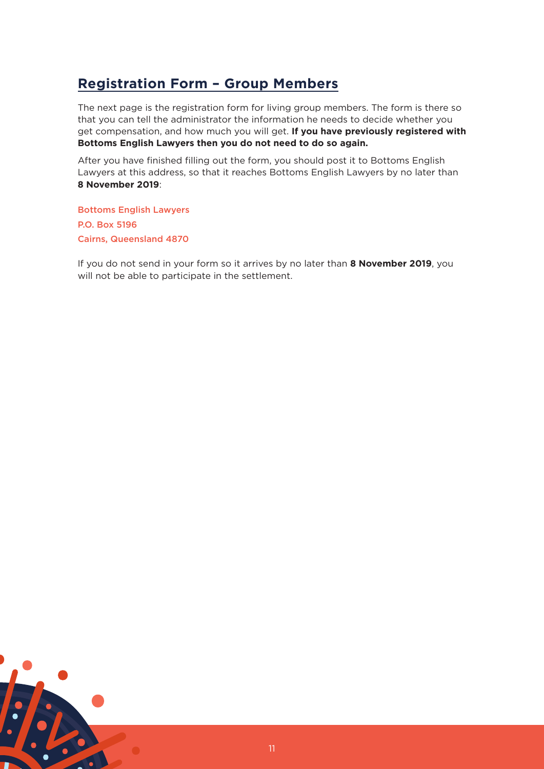### **Registration Form – Group Members**

The next page is the registration form for living group members. The form is there so that you can tell the administrator the information he needs to decide whether you get compensation, and how much you will get. **If you have previously registered with Bottoms English Lawyers then you do not need to do so again.**

After you have finished filling out the form, you should post it to Bottoms English Lawyers at this address, so that it reaches Bottoms English Lawyers by no later than **8 November 2019**:

Bottoms English Lawyers P.O. Box 5196 Cairns, Queensland 4870

If you do not send in your form so it arrives by no later than **8 November 2019**, you will not be able to participate in the settlement.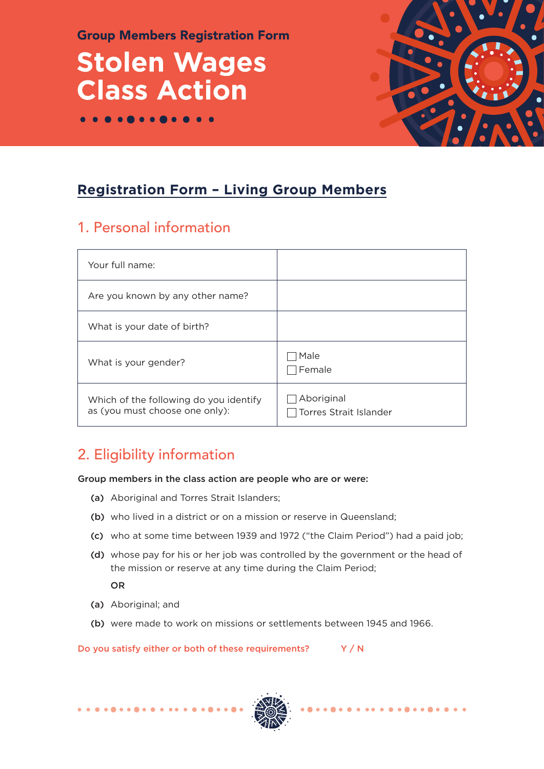Group Members Registration Form

# **Stolen Wages Class Action**



 $\begin{array}{ccccccccccccccccc} \bullet & \bullet & \bullet & \bullet & \bullet & \bullet & \bullet & \bullet \end{array}$ 

## **Registration Form – Living Group Members**

## 1. Personal information

 $\bullet\bullet\bullet\bullet$ 

| Your full name:                                                          |                                      |
|--------------------------------------------------------------------------|--------------------------------------|
| Are you known by any other name?                                         |                                      |
| What is your date of birth?                                              |                                      |
| What is your gender?                                                     | Male<br>Female                       |
| Which of the following do you identify<br>as (you must choose one only): | Aboriginal<br>Torres Strait Islander |

## 2. Eligibility information

Group members in the class action are people who are or were:

- (a) Aboriginal and Torres Strait Islanders;
- (b) who lived in a district or on a mission or reserve in Queensland;
- (c) who at some time between 1939 and 1972 ("the Claim Period") had a paid job;
- (d) whose pay for his or her job was controlled by the government or the head of the mission or reserve at any time during the Claim Period;

OR

- (a) Aboriginal; and
- (b) were made to work on missions or settlements between 1945 and 1966.

Do you satisfy either or both of these requirements?  $Y / N$ 

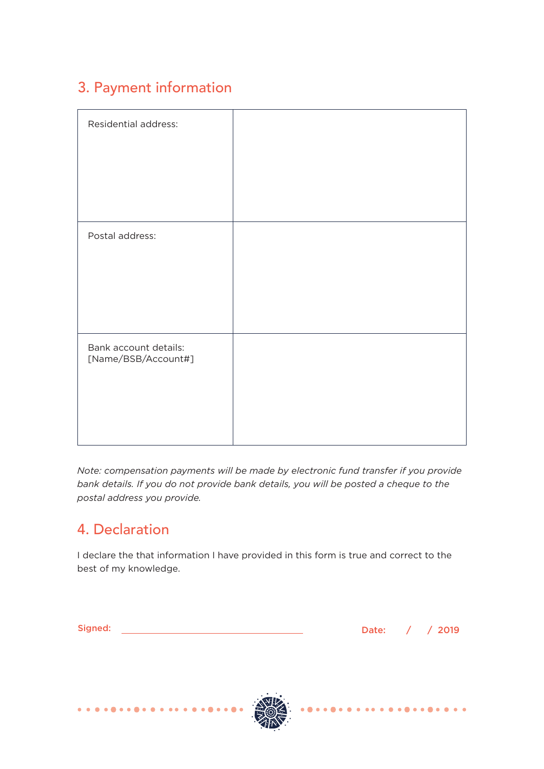## 3. Payment information

| Residential address:                         |  |
|----------------------------------------------|--|
|                                              |  |
|                                              |  |
|                                              |  |
| Postal address:                              |  |
|                                              |  |
|                                              |  |
|                                              |  |
| Bank account details:<br>[Name/BSB/Account#] |  |
|                                              |  |
|                                              |  |
|                                              |  |

*Note: compensation payments will be made by electronic fund transfer if you provide bank details. If you do not provide bank details, you will be posted a cheque to the postal address you provide.* 

## 4. Declaration

I declare the that information I have provided in this form is true and correct to the best of my knowledge.

|                               | ۰. | I |       | v |  |
|-------------------------------|----|---|-------|---|--|
| . .                           |    |   |       |   |  |
| the control of the control of |    |   | _____ |   |  |

Date: / / 2019



. . . . . .

 $\sim$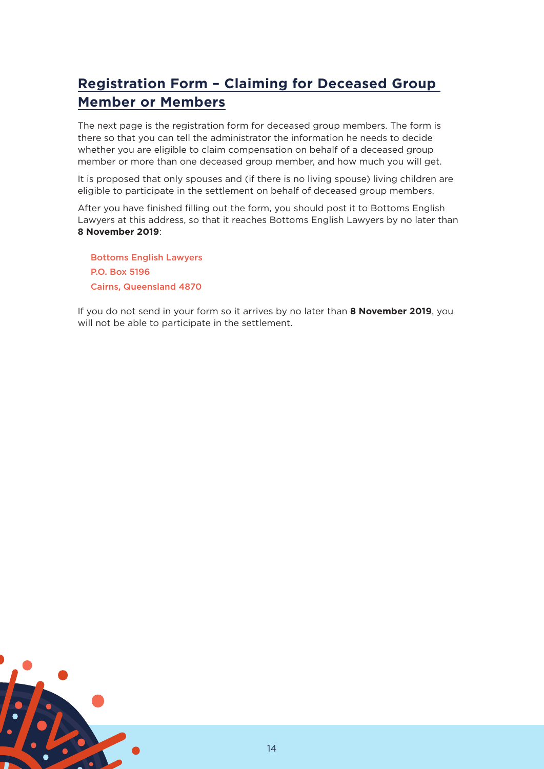## **Registration Form – Claiming for Deceased Group Member or Members**

The next page is the registration form for deceased group members. The form is there so that you can tell the administrator the information he needs to decide whether you are eligible to claim compensation on behalf of a deceased group member or more than one deceased group member, and how much you will get.

It is proposed that only spouses and (if there is no living spouse) living children are eligible to participate in the settlement on behalf of deceased group members.

After you have finished filling out the form, you should post it to Bottoms English Lawyers at this address, so that it reaches Bottoms English Lawyers by no later than **8 November 2019**:

Bottoms English Lawyers P.O. Box 5196 Cairns, Queensland 4870

If you do not send in your form so it arrives by no later than **8 November 2019**, you will not be able to participate in the settlement.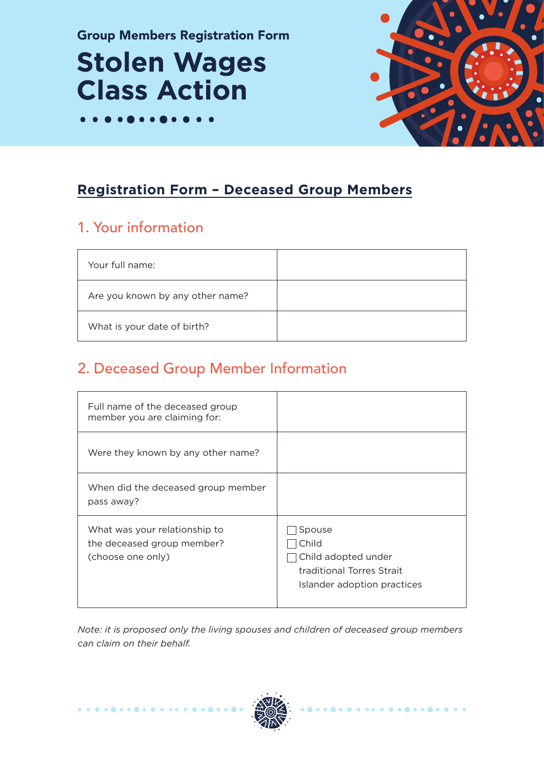Group Members Registration Form

# **Stolen Wages Class Action**



## **Registration Form – Deceased Group Members**

## 1. Your information

| Your full name:                  |  |
|----------------------------------|--|
| Are you known by any other name? |  |
| What is your date of birth?      |  |

## 2. Deceased Group Member Information

| Full name of the deceased group<br>member you are claiming for:                  |                                                                                                    |
|----------------------------------------------------------------------------------|----------------------------------------------------------------------------------------------------|
| Were they known by any other name?                                               |                                                                                                    |
| When did the deceased group member<br>pass away?                                 |                                                                                                    |
| What was your relationship to<br>the deceased group member?<br>(choose one only) | Spouse<br>Child<br>Child adopted under<br>traditional Torres Strait<br>Islander adoption practices |

*Note: it is proposed only the living spouses and children of deceased group members can claim on their behalf.* 

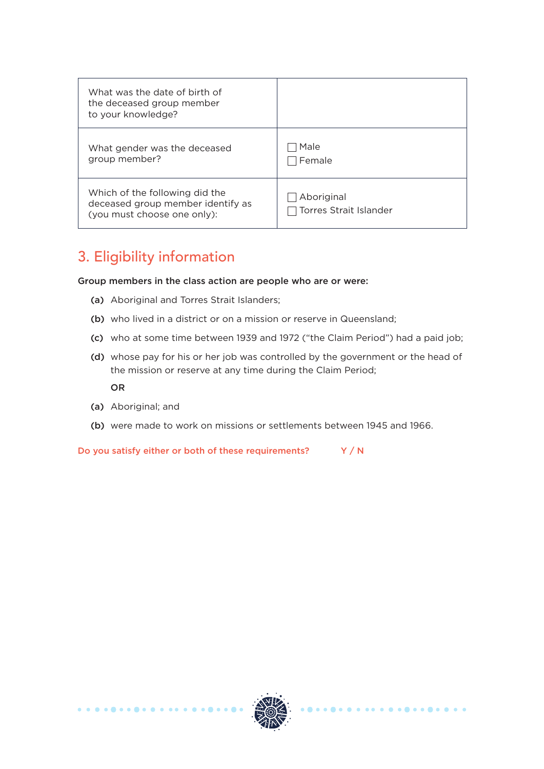| What was the date of birth of<br>the deceased group member<br>to your knowledge?                   |                                             |
|----------------------------------------------------------------------------------------------------|---------------------------------------------|
| What gender was the deceased<br>group member?                                                      | Male<br>Female                              |
| Which of the following did the<br>deceased group member identify as<br>(you must choose one only): | Aboriginal<br><b>Torres Strait Islander</b> |

## 3. Eligibility information

Group members in the class action are people who are or were:

- (a) Aboriginal and Torres Strait Islanders;
- (b) who lived in a district or on a mission or reserve in Queensland;
- (c) who at some time between 1939 and 1972 ("the Claim Period") had a paid job;
- (d) whose pay for his or her job was controlled by the government or the head of the mission or reserve at any time during the Claim Period;

OR

- (a) Aboriginal; and
- (b) were made to work on missions or settlements between 1945 and 1966.

Do you satisfy either or both of these requirements?  $Y / N$ 

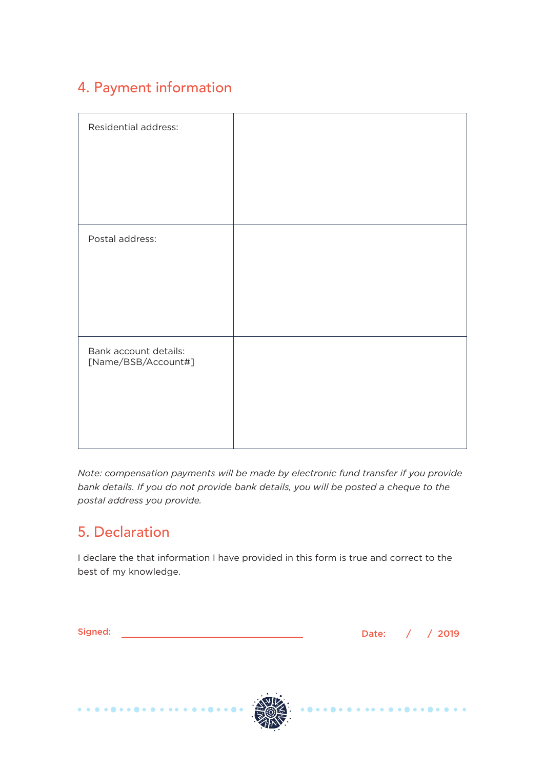## 4. Payment information

| Residential address:  |  |
|-----------------------|--|
|                       |  |
|                       |  |
|                       |  |
|                       |  |
|                       |  |
|                       |  |
|                       |  |
|                       |  |
|                       |  |
|                       |  |
| Postal address:       |  |
|                       |  |
|                       |  |
|                       |  |
|                       |  |
|                       |  |
|                       |  |
|                       |  |
|                       |  |
|                       |  |
| Bank account details: |  |
| [Name/BSB/Account#]   |  |
|                       |  |
|                       |  |
|                       |  |
|                       |  |
|                       |  |
|                       |  |
|                       |  |
|                       |  |

*Note: compensation payments will be made by electronic fund transfer if you provide bank details. If you do not provide bank details, you will be posted a cheque to the postal address you provide.* 

### 5. Declaration

I declare the that information I have provided in this form is true and correct to the best of my knowledge.

|                              | ۰. |       | v |  |
|------------------------------|----|-------|---|--|
|                              |    |       |   |  |
| and the contract of the con- |    | _____ |   |  |

. . . . . .

Date: / / 2019

 $\sim$ 

 $\bullet$   $\bullet$   $\bullet$ 



. . . . . . . . . . . . . .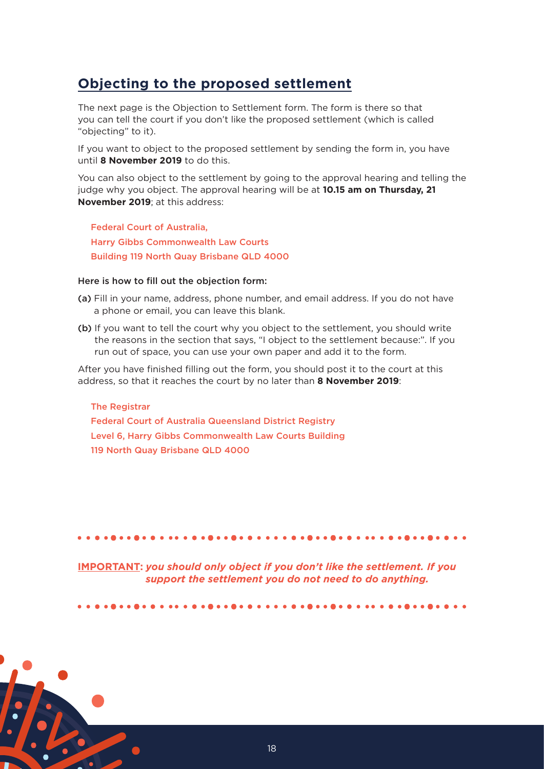### **Objecting to the proposed settlement**

The next page is the Objection to Settlement form. The form is there so that you can tell the court if you don't like the proposed settlement (which is called "objecting" to it).

If you want to object to the proposed settlement by sending the form in, you have until **8 November 2019** to do this.

You can also object to the settlement by going to the approval hearing and telling the judge why you object. The approval hearing will be at **10.15 am on Thursday, 21 November 2019**; at this address:

Federal Court of Australia, Harry Gibbs Commonwealth Law Courts Building 119 North Quay Brisbane QLD 4000

### Here is how to fill out the objection form:

- (a) Fill in your name, address, phone number, and email address. If you do not have a phone or email, you can leave this blank.
- (b) If you want to tell the court why you object to the settlement, you should write the reasons in the section that says, "I object to the settlement because:". If you run out of space, you can use your own paper and add it to the form.

After you have finished filling out the form, you should post it to the court at this address, so that it reaches the court by no later than **8 November 2019**:

The Registrar Federal Court of Australia Queensland District Registry Level 6, Harry Gibbs Commonwealth Law Courts Building 119 North Quay Brisbane QLD 4000

### 

**IMPORTANT:** *you should only object if you don't like the settlement. If you support the settlement you do not need to do anything.*

................................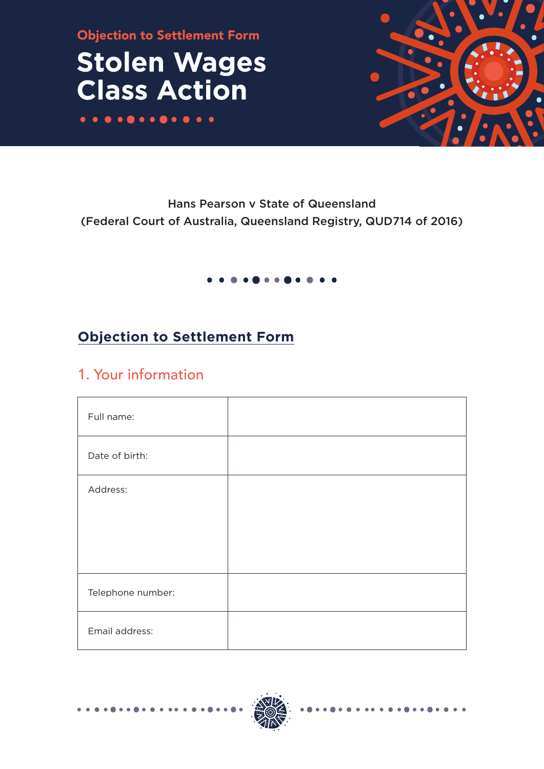Objection to Settlement Form

## **Stolen Wages Class Action**



### Hans Pearson v State of Queensland (Federal Court of Australia, Queensland Registry, QUD714 of 2016)

## **Objection to Settlement Form**

### 1. Your information

| Full name:        |  |
|-------------------|--|
| Date of birth:    |  |
| Address:          |  |
|                   |  |
|                   |  |
|                   |  |
| Telephone number: |  |
| Email address:    |  |

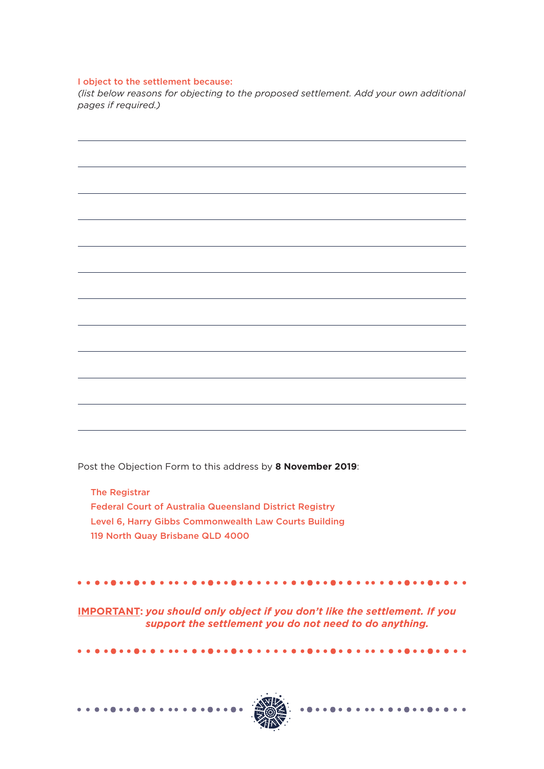### I object to the settlement because:

*(list below reasons for objecting to the proposed settlement. Add your own additional pages if required.)*

Post the Objection Form to this address by **8 November 2019**:

The Registrar Federal Court of Australia Queensland District Registry Level 6, Harry Gibbs Commonwealth Law Courts Building 119 North Quay Brisbane QLD 4000

**IMPORTANT:** *you should only object if you don't like the settlement. If you support the settlement you do not need to do anything.*